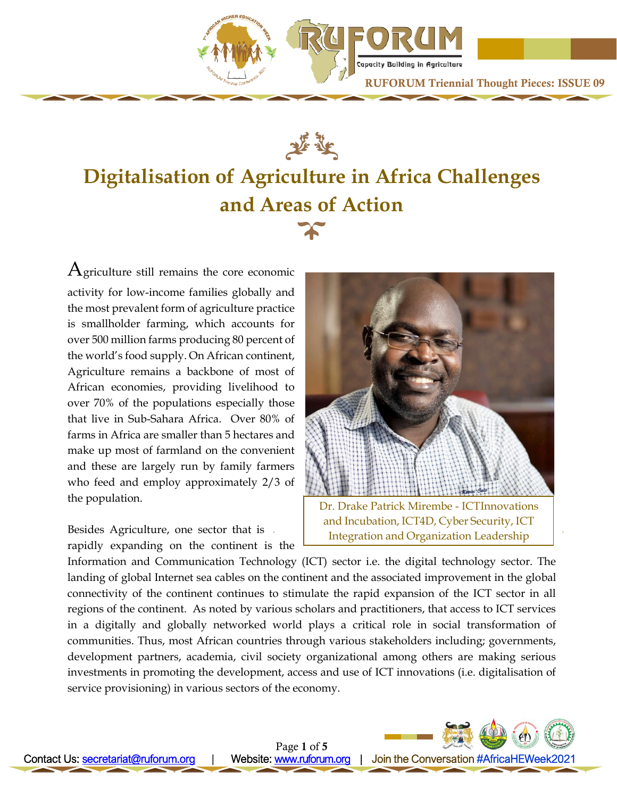

Capacity Building in Agriculture RUFORUM Triennial Thought Pieces: ISSUE 09



# **Digitalisation of Agriculture in Africa Challenges and Areas of Action**

 $A$ griculture still remains the core economic activity for low-income families globally and the most prevalent form of agriculture practice is smallholder farming, which accounts for over 500 million farms producing 80 percent of the world's food supply. On African continent, Agriculture remains a backbone of most of African economies, providing livelihood to over 70% of the populations especially those that live in Sub-Sahara Africa. Over 80% of farms in Africa are smaller than 5 hectares and make up most of farmland on the convenient and these are largely run by family farmers who feed and employ approximately 2/3 of the population.

Besides Agriculture, one sector that is rapidly expanding on the continent is the



Dr. Drake Patrick Mirembe - ICTInnovations and Incubation, ICT4D, Cyber Security, ICT Integration and Organization Leadership

Information and Communication Technology (ICT) sector i.e. the digital technology sector. The landing of global Internet sea cables on the continent and the associated improvement in the global connectivity of the continent continues to stimulate the rapid expansion of the ICT sector in all regions of the continent. As noted by various scholars and practitioners, that access to ICT services in a digitally and globally networked world plays a critical role in social transformation of communities. Thus, most African countries through various stakeholders including; governments, development partners, academia, civil society organizational among others are making serious investments in promoting the development, access and use of ICT innovations (i.e. digitalisation of service provisioning) in various sectors of the economy.

Ï

Page 1 of 5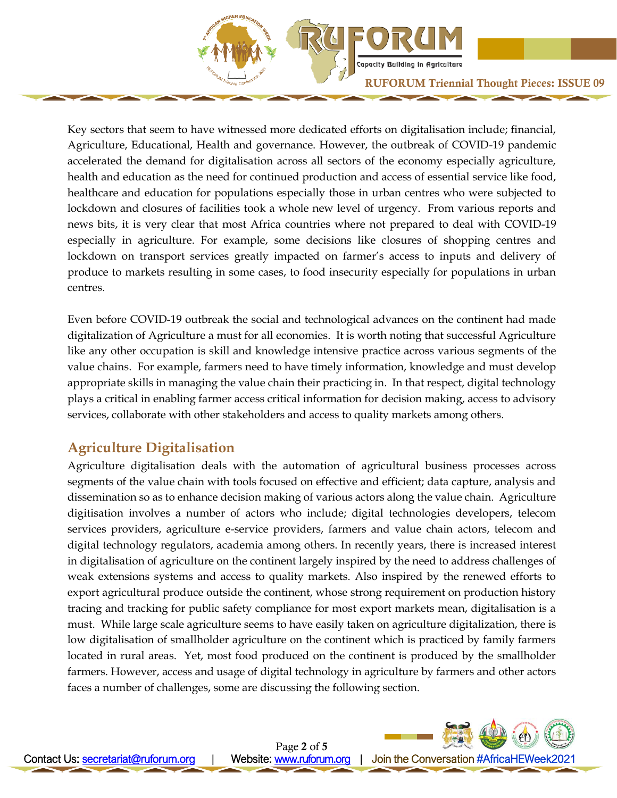

Capacity Building in Agriculture

Key sectors that seem to have witnessed more dedicated efforts on digitalisation include; financial, Agriculture, Educational, Health and governance. However, the outbreak of COVID-19 pandemic accelerated the demand for digitalisation across all sectors of the economy especially agriculture, health and education as the need for continued production and access of essential service like food, healthcare and education for populations especially those in urban centres who were subjected to lockdown and closures of facilities took a whole new level of urgency. From various reports and news bits, it is very clear that most Africa countries where not prepared to deal with COVID-19 especially in agriculture. For example, some decisions like closures of shopping centres and lockdown on transport services greatly impacted on farmer's access to inputs and delivery of produce to markets resulting in some cases, to food insecurity especially for populations in urban centres.

Even before COVID-19 outbreak the social and technological advances on the continent had made digitalization of Agriculture a must for all economies. It is worth noting that successful Agriculture like any other occupation is skill and knowledge intensive practice across various segments of the value chains. For example, farmers need to have timely information, knowledge and must develop appropriate skills in managing the value chain their practicing in. In that respect, digital technology plays a critical in enabling farmer access critical information for decision making, access to advisory services, collaborate with other stakeholders and access to quality markets among others.

## **Agriculture Digitalisation**

Agriculture digitalisation deals with the automation of agricultural business processes across segments of the value chain with tools focused on effective and efficient; data capture, analysis and dissemination so as to enhance decision making of various actors along the value chain. Agriculture digitisation involves a number of actors who include; digital technologies developers, telecom services providers, agriculture e-service providers, farmers and value chain actors, telecom and digital technology regulators, academia among others. In recently years, there is increased interest in digitalisation of agriculture on the continent largely inspired by the need to address challenges of weak extensions systems and access to quality markets. Also inspired by the renewed efforts to export agricultural produce outside the continent, whose strong requirement on production history tracing and tracking for public safety compliance for most export markets mean, digitalisation is a must. While large scale agriculture seems to have easily taken on agriculture digitalization, there is low digitalisation of smallholder agriculture on the continent which is practiced by family farmers located in rural areas. Yet, most food produced on the continent is produced by the smallholder farmers. However, access and usage of digital technology in agriculture by farmers and other actors faces a number of challenges, some are discussing the following section.

Ï

Page 2 of 5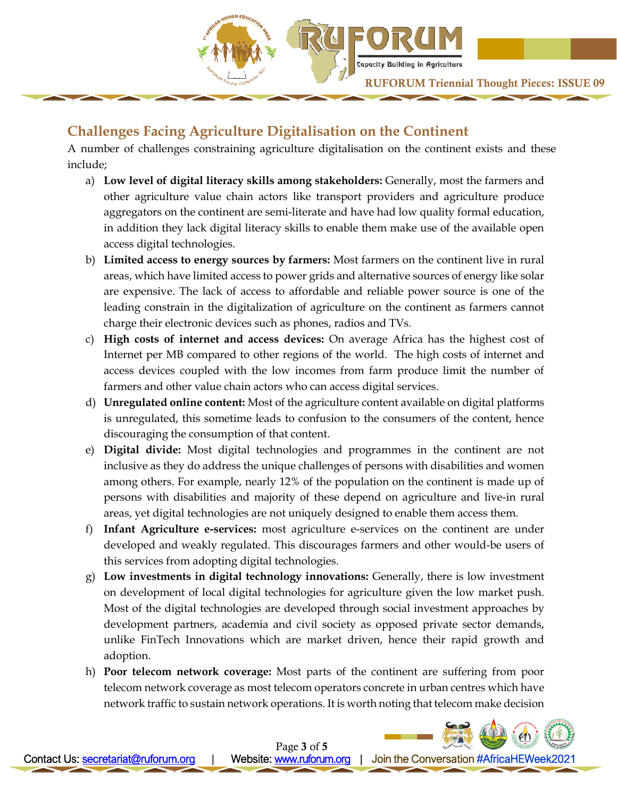

# **Challenges Facing Agriculture Digitalisation on the Continent**

A number of challenges constraining agriculture digitalisation on the continent exists and these include;

- a) **Low level of digital literacy skills among stakeholders:** Generally, most the farmers and other agriculture value chain actors like transport providers and agriculture produce aggregators on the continent are semi-literate and have had low quality formal education, in addition they lack digital literacy skills to enable them make use of the available open access digital technologies.
- b) **Limited access to energy sources by farmers:** Most farmers on the continent live in rural areas, which have limited access to power grids and alternative sources of energy like solar are expensive. The lack of access to affordable and reliable power source is one of the leading constrain in the digitalization of agriculture on the continent as farmers cannot charge their electronic devices such as phones, radios and TVs.
- c) **High costs of internet and access devices:** On average Africa has the highest cost of Internet per MB compared to other regions of the world. The high costs of internet and access devices coupled with the low incomes from farm produce limit the number of farmers and other value chain actors who can access digital services.
- d) **Unregulated online content:** Most of the agriculture content available on digital platforms is unregulated, this sometime leads to confusion to the consumers of the content, hence discouraging the consumption of that content.
- e) **Digital divide:** Most digital technologies and programmes in the continent are not inclusive as they do address the unique challenges of persons with disabilities and women among others. For example, nearly 12% of the population on the continent is made up of persons with disabilities and majority of these depend on agriculture and live-in rural areas, yet digital technologies are not uniquely designed to enable them access them.
- f) **Infant Agriculture e-services:** most agriculture e-services on the continent are under developed and weakly regulated. This discourages farmers and other would-be users of this services from adopting digital technologies.
- g) **Low investments in digital technology innovations:** Generally, there is low investment on development of local digital technologies for agriculture given the low market push. Most of the digital technologies are developed through social investment approaches by development partners, academia and civil society as opposed private sector demands, unlike FinTech Innovations which are market driven, hence their rapid growth and adoption.
- h) **Poor telecom network coverage:** Most parts of the continent are suffering from poor telecom network coverage as most telecom operators concrete in urban centres which have network traffic to sustain network operations. It is worth noting that telecom make decision

Ï

Page 3 of 5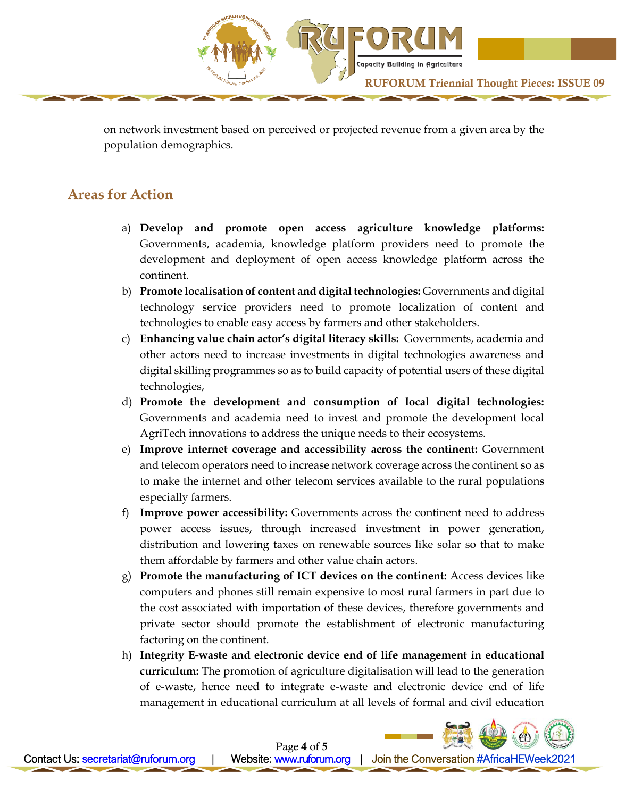

on network investment based on perceived or projected revenue from a given area by the population demographics.

### **Areas for Action**

- a) **Develop and promote open access agriculture knowledge platforms:** Governments, academia, knowledge platform providers need to promote the development and deployment of open access knowledge platform across the continent.
- b) **Promote localisation of content and digital technologies:** Governments and digital technology service providers need to promote localization of content and technologies to enable easy access by farmers and other stakeholders.
- c) **Enhancing value chain actor's digital literacy skills:** Governments, academia and other actors need to increase investments in digital technologies awareness and digital skilling programmes so as to build capacity of potential users of these digital technologies,
- d) **Promote the development and consumption of local digital technologies:** Governments and academia need to invest and promote the development local AgriTech innovations to address the unique needs to their ecosystems.
- e) **Improve internet coverage and accessibility across the continent:** Government and telecom operators need to increase network coverage across the continent so as to make the internet and other telecom services available to the rural populations especially farmers.
- f) **Improve power accessibility:** Governments across the continent need to address power access issues, through increased investment in power generation, distribution and lowering taxes on renewable sources like solar so that to make them affordable by farmers and other value chain actors.
- g) **Promote the manufacturing of ICT devices on the continent:** Access devices like computers and phones still remain expensive to most rural farmers in part due to the cost associated with importation of these devices, therefore governments and private sector should promote the establishment of electronic manufacturing factoring on the continent.
- h) **Integrity E-waste and electronic device end of life management in educational curriculum:** The promotion of agriculture digitalisation will lead to the generation of e-waste, hence need to integrate e-waste and electronic device end of life management in educational curriculum at all levels of formal and civil education

Ï

Page 4 of 5